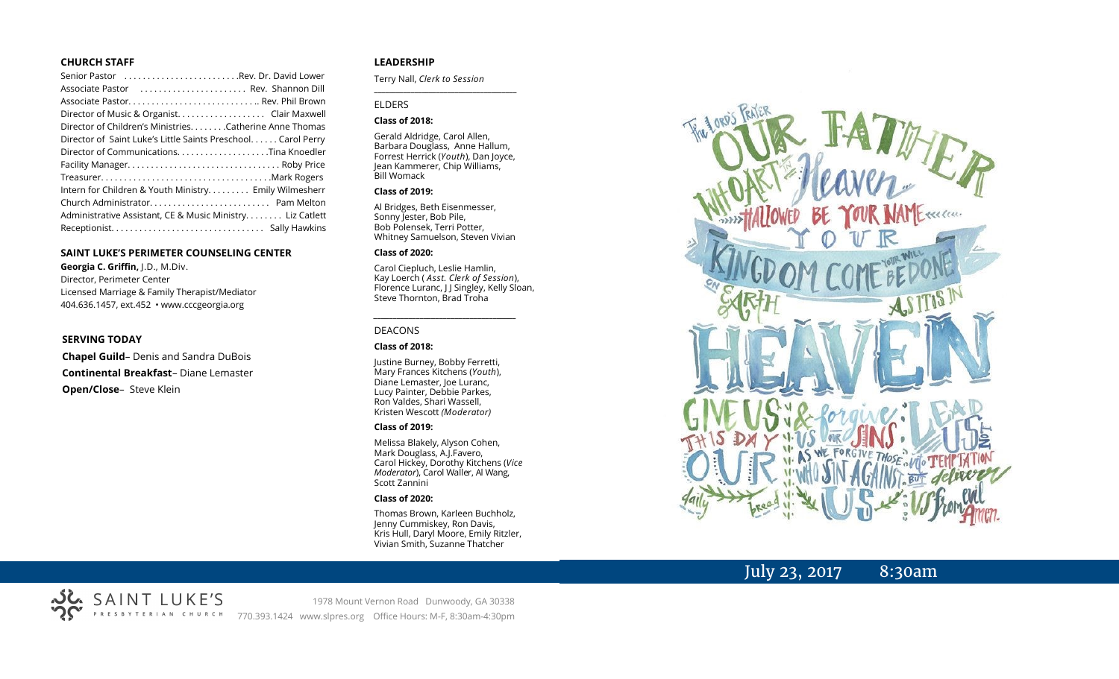#### **CHURCH STAFF**

| Senior Pastor Rev. Dr. David Lower                           |
|--------------------------------------------------------------|
| Associate Pastor  Rev. Shannon Dill                          |
|                                                              |
|                                                              |
| Director of Children's Ministries. Catherine Anne Thomas     |
| Director of Saint Luke's Little Saints Preschool Carol Perry |
|                                                              |
|                                                              |
|                                                              |
| Intern for Children & Youth Ministry Emily Wilmesherr        |
|                                                              |
| Administrative Assistant, CE & Music Ministry Liz Catlett    |
|                                                              |

#### **SAINT LUKE'S PERIMETER COUNSELING CENTER**

**Georgia C. Griffin,** J.D., M.Div. Director, Perimeter Center Licensed Marriage & Family Therapist/Mediator 404.636.1457, ext.452 • www.cccgeorgia.org

#### **SERVING TODAY**

**Chapel Guild**– Denis and Sandra DuBois **Continental Breakfast**– Diane Lemaster **Open/Close**– Steve Klein

#### **LEADERSHIP**

Terry Nall, *Clerk to Session* 

#### ELDERS

#### **Class of 2018:**

Gerald Aldridge, Carol Allen, Barbara Douglass, Anne Hallum, Forrest Herrick (*Youth*), Dan Joyce, Jean Kammerer, Chip Williams, Bill Womack

**\_\_\_\_\_\_\_\_\_\_\_\_\_\_\_\_\_\_\_\_\_\_\_\_\_\_\_\_\_\_\_\_\_\_\_\_\_\_\_**

#### **Class of 2019:**

Al Bridges, Beth Eisenmesser, Sonny Jester, Bob Pile, Bob Polensek, Terri Potter, Whitney Samuelson, Steven Vivian

#### **Class of 2020:**

Carol Ciepluch, Leslie Hamlin, Kay Loerch ( *Asst. Clerk of Session*), Florence Luranc, J J Singley, Kelly Sloan, Steve Thornton, Brad Troha

*\_\_\_\_\_\_\_\_\_\_\_\_\_\_\_\_\_\_\_\_\_\_\_\_\_\_\_\_\_\_\_\_\_\_\_\_\_*

#### DEACONS

#### **Class of 2018:**

Justine Burney, Bobby Ferretti, Mary Frances Kitchens (*Youth*), Diane Lemaster, Joe Luranc, Lucy Painter, Debbie Parkes, Ron Valdes, Shari Wassell, Kristen Wescott *(Moderator)*

#### **Class of 2019:**

Melissa Blakely, Alyson Cohen, Mark Douglass, A.J.Favero, Carol Hickey, Dorothy Kitchens (*Vice Moderator*), Carol Waller, Al Wang, Scott Zannini

#### **Class of 2020:**

Thomas Brown, Karleen Buchholz, Jenny Cummiskey, Ron Davis, Kris Hull, Daryl Moore, Emily Ritzler, Vivian Smith, Suzanne Thatcher



# July 23, 2017 8:30am



1978 Mount Vernon Road Dunwoody, GA 30338 770.393.1424 www.slpres.org Office Hours: M-F, 8:30am-4:30pm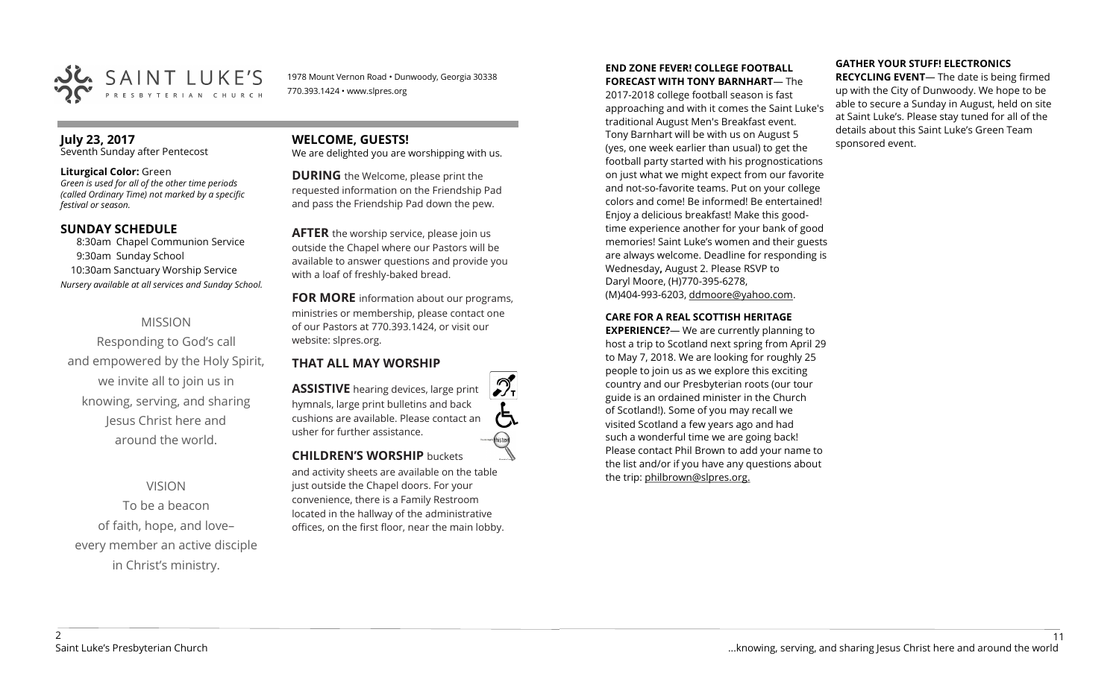

1978 Mount Vernon Road • Dunwoody, Georgia 30338 770.393.1424 • www.slpres.org

# **July 23, 2017**

Seventh Sunday after Pentecost

#### **Liturgical Color:** Green

*Green is used for all of the other time periods (called Ordinary Time) not marked by a specific festival or season.*

#### **SUNDAY SCHEDULE**

8:30am Chapel Communion Service 9:30am Sunday School 10:30am Sanctuary Worship Service *Nursery available at all services and Sunday School.*

# MISSION

Responding to God's call and empowered by the Holy Spirit, we invite all to join us in knowing, serving, and sharing Jesus Christ here and around the world.

# VISION

To be a beacon of faith, hope, and love– every member an active disciple in Christ's ministry.

# **WELCOME, GUESTS!**

We are delighted you are worshipping with us.

**DURING** the Welcome, please print the requested information on the Friendship Pad and pass the Friendship Pad down the pew.

**AFTER** the worship service, please join us outside the Chapel where our Pastors will be available to answer questions and provide you with a loaf of freshly-baked bread.

**FOR MORE** information about our programs, ministries or membership, please contact one of our Pastors at 770.393.1424, or visit our website: slpres.org.

## **THAT ALL MAY WORSHIP**

**ASSISTIVE** hearing devices, large print hymnals, large print bulletins and back cushions are available. Please contact an usher for further assistance. **CHILDREN'S WORSHIP** buckets

and activity sheets are available on the table just outside the Chapel doors. For your convenience, there is a Family Restroom located in the hallway of the administrative offices, on the first floor, near the main lobby.

#### **END ZONE FEVER! COLLEGE FOOTBALL FORECAST WITH TONY BARNHART**— The

2017-2018 college football season is fast approaching and with it comes the Saint Luke's traditional August Men's Breakfast event. Tony Barnhart will be with us on August 5 (yes, one week earlier than usual) to get the football party started with his prognostications on just what we might expect from our favorite and not-so-favorite teams. Put on your college colors and come! Be informed! Be entertained! Enjoy a delicious breakfast! Make this goodtime experience another for your bank of good memories! Saint Luke's women and their guests are always welcome. Deadline for responding is Wednesday**,** August 2. Please RSVP to Daryl Moore, (H)770-395-6278, (M)404-993-6203, [ddmoore@yahoo.com.](mailto:ddmoore@yahoo.com)

#### **CARE FOR A REAL SCOTTISH HERITAGE**

**EXPERIENCE?**— We are currently planning to host a trip to Scotland next spring from April 29 to May 7, 2018. We are looking for roughly 25 people to join us as we explore this exciting country and our Presbyterian roots (our tour guide is an ordained minister in the Church of Scotland!). Some of you may recall we visited Scotland a few years ago and had such a wonderful time we are going back! Please contact Phil Brown to add your name to the list and/or if you have any questions about the trip: philbrown@slpres.org.

# **GATHER YOUR STUFF! ELECTRONICS**

**RECYCLING EVENT**— The date is being firmed up with the City of Dunwoody. We hope to be able to secure a Sunday in August, held on site at Saint Luke's. Please stay tuned for all of the details about this Saint Luke's Green Team sponsored event.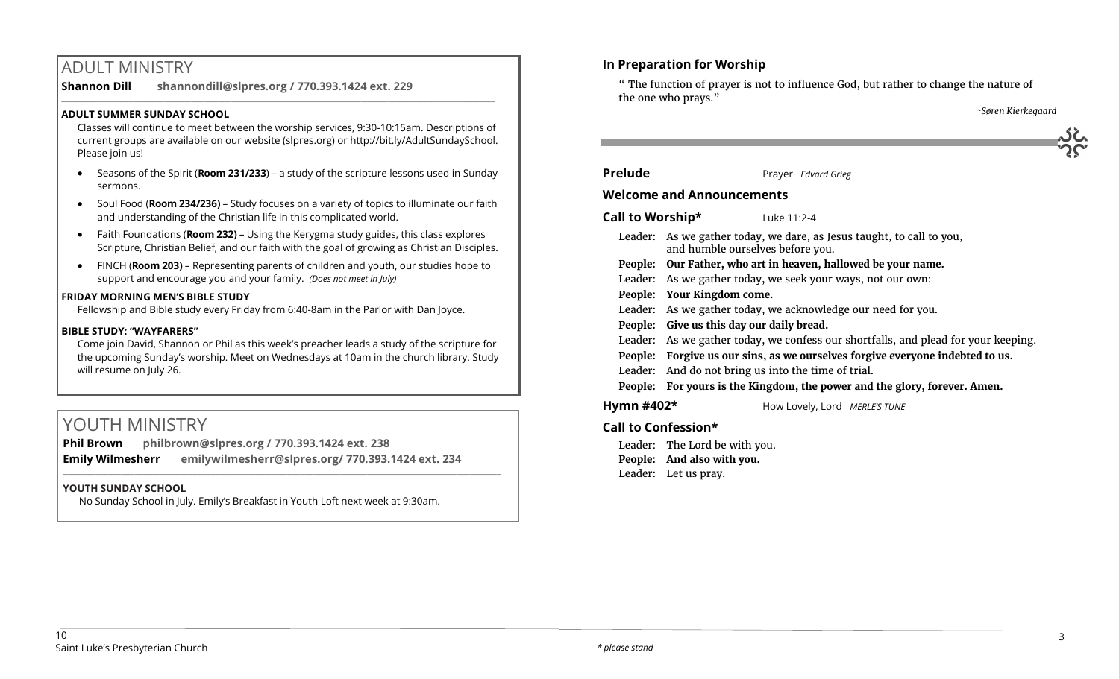# ADULT MINISTRY

**Shannon Dill shannondill@slpres.org / 770.393.1424 ext. 229**   $\_$  ,  $\_$  ,  $\_$  ,  $\_$  ,  $\_$  ,  $\_$  ,  $\_$  ,  $\_$  ,  $\_$  ,  $\_$  ,  $\_$  ,  $\_$  ,  $\_$  ,  $\_$  ,  $\_$  ,  $\_$  ,  $\_$  ,  $\_$  ,  $\_$  ,  $\_$ 

## **ADULT SUMMER SUNDAY SCHOOL**

Classes will continue to meet between the worship services, 9:30-10:15am. Descriptions of current groups are available on our website (slpres.org) or http://bit.ly/AdultSundaySchool. Please join us!

- Seasons of the Spirit (**Room 231/233**) a study of the scripture lessons used in Sunday sermons.
- Soul Food (**Room 234/236)**  Study focuses on a variety of topics to illuminate our faith and understanding of the Christian life in this complicated world.
- Faith Foundations (**Room 232)**  Using the Kerygma study guides, this class explores Scripture, Christian Belief, and our faith with the goal of growing as Christian Disciples.
- FINCH (**Room 203)** Representing parents of children and youth, our studies hope to support and encourage you and your family. *(Does not meet in July)*

#### **FRIDAY MORNING MEN'S BIBLE STUDY**

Fellowship and Bible study every Friday from 6:40-8am in the Parlor with Dan Joyce.

#### **BIBLE STUDY: "WAYFARERS"**

Come join David, Shannon or Phil as this week's preacher leads a study of the scripture for the upcoming Sunday's worship. Meet on Wednesdays at 10am in the church library. Study will resume on July 26.

# YOUTH MINISTRY

**Phil Brown philbrown@slpres.org / 770.393.1424 ext. 238 Emily Wilmesherr emilywilmesherr@slpres.org/ 770.393.1424 ext. 234**   $\_$  ,  $\_$  ,  $\_$  ,  $\_$  ,  $\_$  ,  $\_$  ,  $\_$  ,  $\_$  ,  $\_$  ,  $\_$  ,  $\_$  ,  $\_$  ,  $\_$  ,  $\_$  ,  $\_$  ,  $\_$  ,  $\_$  ,  $\_$  ,  $\_$  ,  $\_$ 

## **YOUTH SUNDAY SCHOOL**

No Sunday School in July. Emily's Breakfast in Youth Loft next week at 9:30am.

# **In Preparation for Worship**

" The function of prayer is not to influence God, but rather to change the nature of the one who prays."

*~Søren Kierkegaard*

| EN SER |
|--------|
|        |

# **Prelude** Prayer *Edvard Grieg*

## **Welcome and Announcements**

**Call to Worship\*** Luke 11:2-4

- Leader: As we gather today, we dare, as Jesus taught, to call to you, and humble ourselves before you.
- **People: Our Father, who art in heaven, hallowed be your name.**
- Leader: As we gather today, we seek your ways, not our own:
- **People: Your Kingdom come.**
- Leader: As we gather today, we acknowledge our need for you.
- **People: Give us this day our daily bread.**
- Leader: As we gather today, we confess our shortfalls, and plead for your keeping.
- **People: Forgive us our sins, as we ourselves forgive everyone indebted to us.**
- Leader: And do not bring us into the time of trial.

**People: For yours is the Kingdom, the power and the glory, forever. Amen.**

**Hymn #402\*** How Lovely, Lord *MERLE'S TUNE*

# **Call to Confession\***

Leader: The Lord be with you. **People: And also with you.** Leader: Let us pray.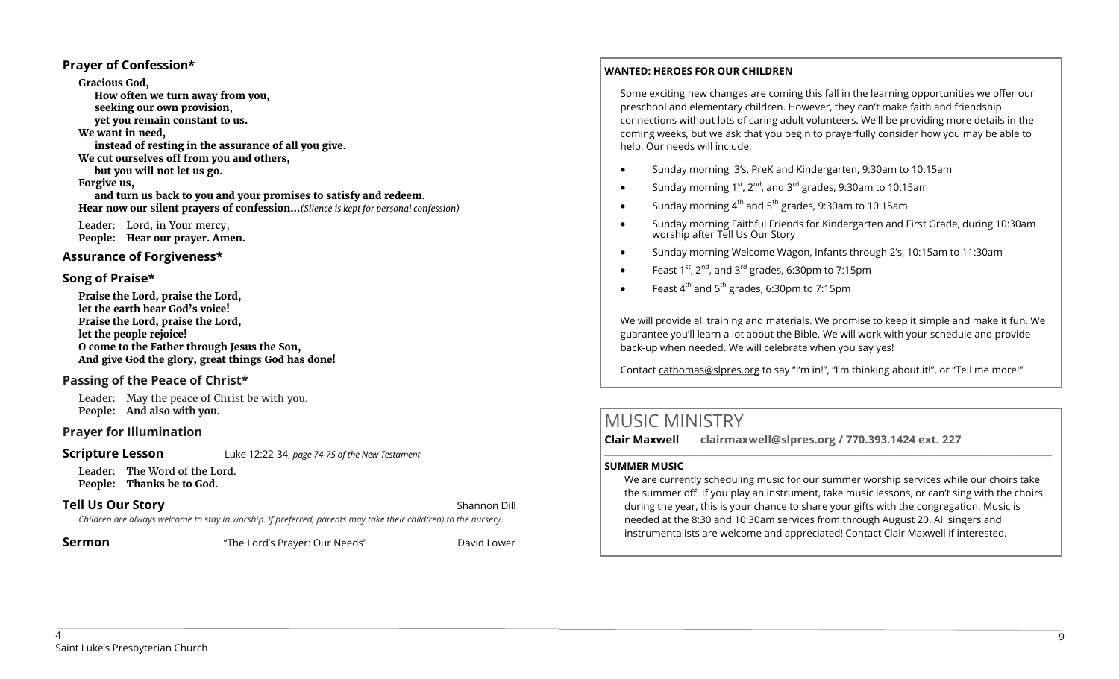#### **Prayer of Confession\***

**Gracious God, How often we turn away from you, seeking our own provision, yet you remain constant to us. We want in need, instead of resting in the assurance of all you give. We cut ourselves off from you and others, but you will not let us go. Forgive us, and turn us back to you and your promises to satisfy and redeem. Hear now our silent prayers of confession…***(Silence is kept for personal confession)* 

Leader: Lord, in Your mercy, **People: Hear our prayer. Amen.**

#### **Assurance of Forgiveness\***

# **Song of Praise\***

**Praise the Lord, praise the Lord, let the earth hear God's voice! Praise the Lord, praise the Lord, let the people rejoice! O come to the Father through Jesus the Son, And give God the glory, great things God has done!** 

## **Passing of the Peace of Christ\***

Leader: May the peace of Christ be with you. **People: And also with you.**

## **Prayer for Illumination**

#### **Scripture Lesson** Luke 12:22-34, *page 74-75 of the New Testament*

Leader: The Word of the Lord. **People: Thanks be to God.**

## **Tell Us Our Story Shannon Dill Contract Contract Contract Contract Contract Contract Contract Contract Contract Contract Contract Contract Contract Contract Contract Contract Contract Contract Contract Contract Contra**

*Children are always welcome to stay in worship. If preferred, parents may take their child(ren) to the nursery.*

**Sermon** The Lord's Prayer: Our Needs" David Lower

#### **WANTED: HEROES FOR OUR CHILDREN**

Some exciting new changes are coming this fall in the learning opportunities we offer our preschool and elementary children. However, they can't make faith and friendship connections without lots of caring adult volunteers. We'll be providing more details in the coming weeks, but we ask that you begin to prayerfully consider how you may be able to help. Our needs will include:

- Sunday morning 3's, PreK and Kindergarten, 9:30am to 10:15am
- Sunday morning  $1^{st}$ ,  $2^{nd}$ , and  $3^{rd}$  grades, 9:30am to 10:15am
- $\bullet$  Sunday morning 4<sup>th</sup> and 5<sup>th</sup> grades, 9:30am to 10:15am
- Sunday morning Faithful Friends for Kindergarten and First Grade, during 10:30am worship after Tell Us Our Story
- Sunday morning Welcome Wagon, Infants through 2's, 10:15am to 11:30am
- Feast  $1^{st}$ ,  $2^{nd}$ , and  $3^{rd}$  grades, 6:30pm to 7:15pm
- Feast  $4^{th}$  and  $5^{th}$  grades, 6:30pm to 7:15pm

We will provide all training and materials. We promise to keep it simple and make it fun. We guarantee you'll learn a lot about the Bible. We will work with your schedule and provide back-up when needed. We will celebrate when you say yes!

Contact [cathomas@slpres.org](mailto:cathomas@slpres.org) to say "I'm in!", "I'm thinking about it!", or "Tell me more!"

# MUSIC MINISTRY

**Clair Maxwell clairmaxwell@slpres.org / 770.393.1424 ext. 227**   $\_$  ,  $\_$  ,  $\_$  ,  $\_$  ,  $\_$  ,  $\_$  ,  $\_$  ,  $\_$  ,  $\_$  ,  $\_$  ,  $\_$  ,  $\_$  ,  $\_$  ,  $\_$  ,  $\_$  ,  $\_$  ,  $\_$  ,  $\_$  ,  $\_$  ,  $\_$  ,  $\_$  ,  $\_$  ,  $\_$  ,  $\_$  ,  $\_$  ,  $\_$  ,  $\_$  ,  $\_$  ,  $\_$  ,  $\_$  ,  $\_$  ,  $\_$  ,  $\_$  ,  $\_$  ,  $\_$  ,  $\_$  ,  $\_$  ,

#### **SUMMER MUSIC**

We are currently scheduling music for our summer worship services while our choirs take the summer off. If you play an instrument, take music lessons, or can't sing with the choirs during the year, this is your chance to share your gifts with the congregation. Music is needed at the 8:30 and 10:30am services from through August 20. All singers and instrumentalists are welcome and appreciated! Contact Clair Maxwell if interested.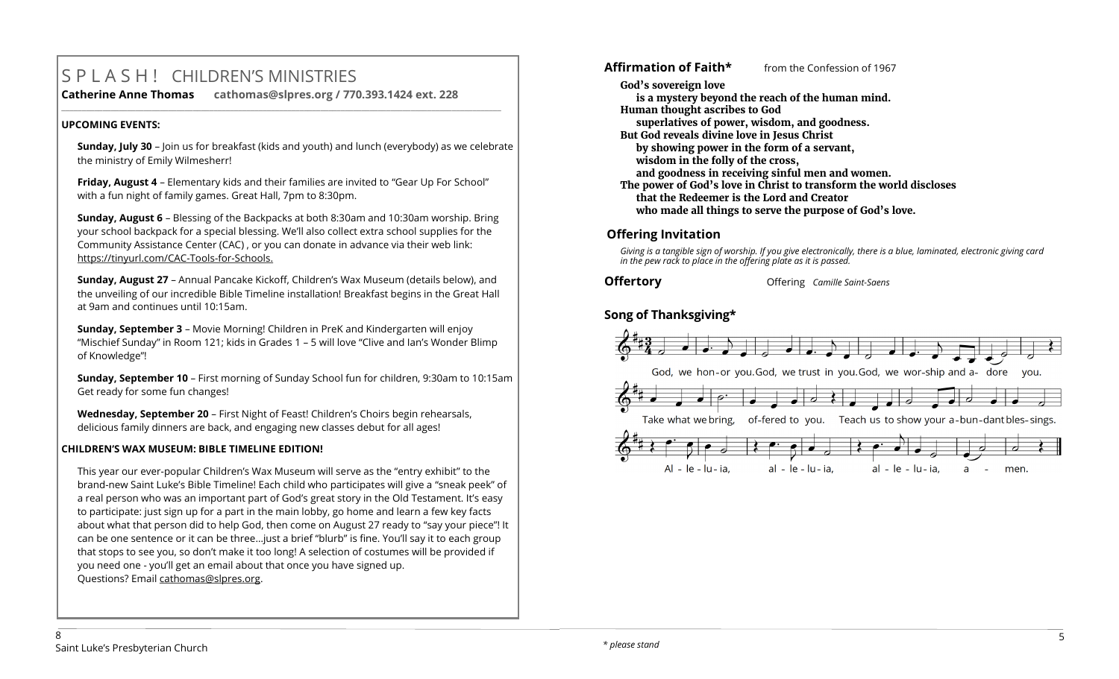# S P L A S H ! CHILDREN'S MINISTRIES

**Catherine Anne Thomas cathomas@slpres.org / 770.393.1424 ext. 228 \_\_\_\_\_\_\_\_\_\_\_\_\_\_\_\_\_\_\_\_\_\_\_\_\_\_\_\_\_\_\_\_\_\_\_\_\_\_\_\_\_\_\_\_\_\_\_\_\_\_\_\_\_\_\_\_\_\_\_\_\_\_\_\_\_\_\_\_\_\_\_\_\_\_\_\_\_\_\_\_\_\_\_\_\_\_\_\_\_\_\_\_\_\_\_\_\_\_\_\_\_\_\_\_\_\_\_** 

# **UPCOMING EVENTS:**

**Sunday, July 30** – Join us for breakfast (kids and youth) and lunch (everybody) as we celebrate the ministry of Emily Wilmesherr!

**Friday, August 4** – Elementary kids and their families are invited to "Gear Up For School" with a fun night of family games. Great Hall, 7pm to 8:30pm.

**Sunday, August 6** – Blessing of the Backpacks at both 8:30am and 10:30am worship. Bring your school backpack for a special blessing. We'll also collect extra school supplies for the Community Assistance Center (CAC) , or you can donate in advance via their web link: https://tinyurl.com/CAC-Tools-for-Schools.

**Sunday, August 27** – Annual Pancake Kickoff, Children's Wax Museum (details below), and the unveiling of our incredible Bible Timeline installation! Breakfast begins in the Great Hall at 9am and continues until 10:15am.

**Sunday, September 3** – Movie Morning! Children in PreK and Kindergarten will enjoy "Mischief Sunday" in Room 121; kids in Grades 1 – 5 will love "Clive and Ian's Wonder Blimp of Knowledge"!

**Sunday, September 10** – First morning of Sunday School fun for children, 9:30am to 10:15am Get ready for some fun changes!

**Wednesday, September 20** – First Night of Feast! Children's Choirs begin rehearsals, delicious family dinners are back, and engaging new classes debut for all ages!

# **CHILDREN'S WAX MUSEUM: BIBLE TIMELINE EDITION!**

This year our ever-popular Children's Wax Museum will serve as the "entry exhibit" to the brand-new Saint Luke's Bible Timeline! Each child who participates will give a "sneak peek" of a real person who was an important part of God's great story in the Old Testament. It's easy to participate: just sign up for a part in the main lobby, go home and learn a few key facts about what that person did to help God, then come on August 27 ready to "say your piece"! It can be one sentence or it can be three…just a brief "blurb" is fine. You'll say it to each group that stops to see you, so don't make it too long! A selection of costumes will be provided if you need one - you'll get an email about that once you have signed up. Questions? Email [cathomas@slpres.org.](mailto:cathomas@slpres.org)

**God's sovereign love is a mystery beyond the reach of the human mind. Human thought ascribes to God superlatives of power, wisdom, and goodness. But God reveals divine love in Jesus Christ by showing power in the form of a servant, wisdom in the folly of the cross, and goodness in receiving sinful men and women. The power of God's love in Christ to transform the world discloses that the Redeemer is the Lord and Creator who made all things to serve the purpose of God's love.** 

**Affirmation of Faith\*** from the Confession of 1967

# **Offering Invitation**

*Giving is a tangible sign of worship. If you give electronically, there is a blue, laminated, electronic giving card in the pew rack to place in the offering plate as it is passed.*

**Offertory** Offering *Camille Saint-Saens* 

# **Song of Thanksgiving\***